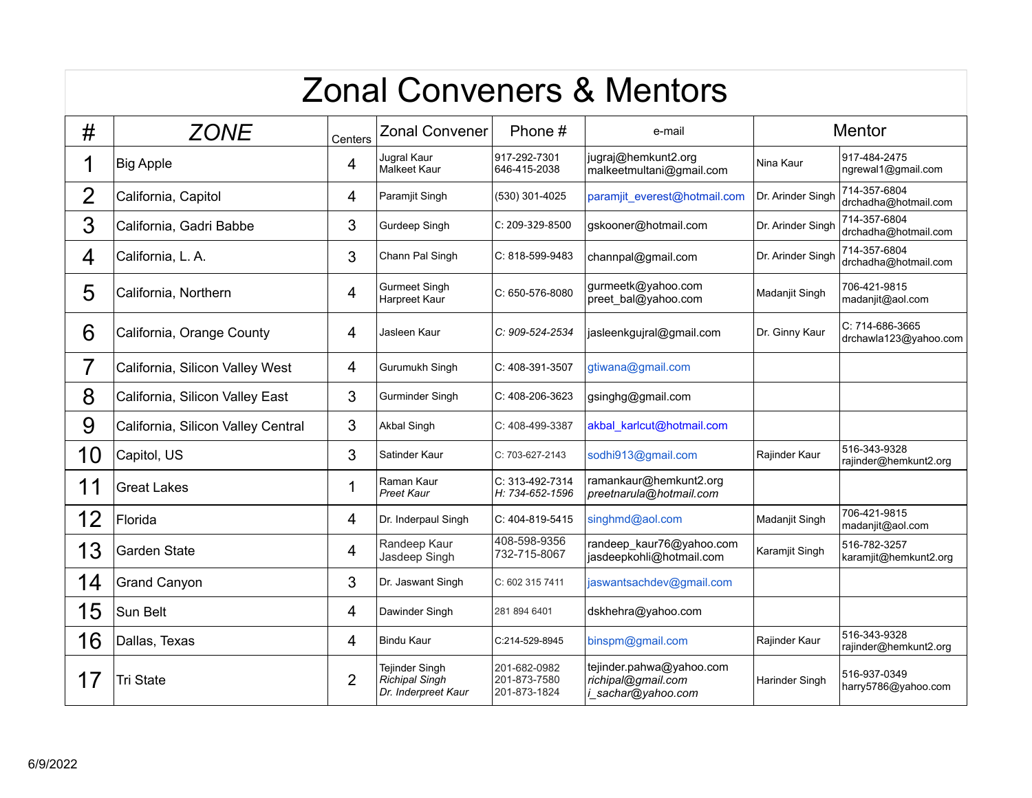## Zonal Conveners & Mentors

| #              | <b>ZONE</b>                        | Centers        | <b>Zonal Convener</b>                                                 | Phone #                                      | e-mail                                                               | <b>Mentor</b>     |                                          |
|----------------|------------------------------------|----------------|-----------------------------------------------------------------------|----------------------------------------------|----------------------------------------------------------------------|-------------------|------------------------------------------|
|                | <b>Big Apple</b>                   | 4              | Jugral Kaur<br><b>Malkeet Kaur</b>                                    | 917-292-7301<br>646-415-2038                 | jugraj@hemkunt2.org<br>malkeetmultani@gmail.com                      | Nina Kaur         | 917-484-2475<br>ngrewal1@gmail.com       |
| $\overline{2}$ | California, Capitol                | 4              | Paramjit Singh                                                        | (530) 301-4025                               | paramjit everest@hotmail.com                                         | Dr. Arinder Singh | 714-357-6804<br>drchadha@hotmail.com     |
| 3              | California, Gadri Babbe            | 3              | Gurdeep Singh                                                         | C: 209-329-8500                              | gskooner@hotmail.com                                                 | Dr. Arinder Singh | 714-357-6804<br>drchadha@hotmail.com     |
| 4              | California, L. A.                  | 3              | Chann Pal Singh                                                       | C: 818-599-9483                              | channpal@gmail.com                                                   | Dr. Arinder Singh | 714-357-6804<br>drchadha@hotmail.com     |
| 5              | California, Northern               | 4              | <b>Gurmeet Singh</b><br>Harpreet Kaur                                 | $C: 650-576-8080$                            | gurmeetk@yahoo.com<br>preet bal@yahoo.com                            | Madanjit Singh    | 706-421-9815<br>madanjit@aol.com         |
| 6              | California, Orange County          | 4              | Jasleen Kaur                                                          | C: 909-524-2534                              | jasleenkgujral@gmail.com                                             | Dr. Ginny Kaur    | C: 714-686-3665<br>drchawla123@yahoo.com |
| 7              | California, Silicon Valley West    | 4              | Gurumukh Singh                                                        | C: 408-391-3507                              | gtiwana@gmail.com                                                    |                   |                                          |
| 8              | California, Silicon Valley East    | 3              | Gurminder Singh                                                       | C: 408-206-3623                              | gsinghg@gmail.com                                                    |                   |                                          |
| 9              | California, Silicon Valley Central | 3              | <b>Akbal Singh</b>                                                    | C: 408-499-3387                              | akbal karlcut@hotmail.com                                            |                   |                                          |
| 10             | Capitol, US                        | 3              | Satinder Kaur                                                         | C: 703-627-2143                              | sodhi913@gmail.com                                                   | Rajinder Kaur     | 516-343-9328<br>rajinder@hemkunt2.org    |
| 11             | <b>Great Lakes</b>                 | 1              | Raman Kaur<br><b>Preet Kaur</b>                                       | C: 313-492-7314<br>H: 734-652-1596           | ramankaur@hemkunt2.org<br>preetnarula@hotmail.com                    |                   |                                          |
| 12             | Florida                            | 4              | Dr. Inderpaul Singh                                                   | C: 404-819-5415                              | singhmd@aol.com                                                      | Madanjit Singh    | 706-421-9815<br>madanjit@aol.com         |
| 13             | Garden State                       | 4              | Randeep Kaur<br>Jasdeep Singh                                         | 408-598-9356<br>732-715-8067                 | randeep_kaur76@yahoo.com<br>jasdeepkohli@hotmail.com                 | Karamjit Singh    | 516-782-3257<br>karamjit@hemkunt2.org    |
| 14             | <b>Grand Canyon</b>                | 3              | Dr. Jaswant Singh                                                     | C: 602 315 7411                              | jaswantsachdev@gmail.com                                             |                   |                                          |
| 15             | Sun Belt                           | 4              | Dawinder Singh                                                        | 281 894 6401                                 | dskhehra@yahoo.com                                                   |                   |                                          |
| 16             | Dallas, Texas                      | 4              | <b>Bindu Kaur</b>                                                     | C:214-529-8945                               | binspm@gmail.com                                                     | Rajinder Kaur     | 516-343-9328<br>rajinder@hemkunt2.org    |
| 17             | Tri State                          | $\overline{2}$ | <b>Tejinder Singh</b><br><b>Richipal Singh</b><br>Dr. Inderpreet Kaur | 201-682-0982<br>201-873-7580<br>201-873-1824 | tejinder.pahwa@yahoo.com<br>richipal@gmail.com<br>i_sachar@yahoo.com | Harinder Singh    | 516-937-0349<br>harry5786@yahoo.com      |